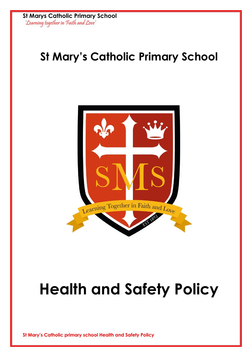**St Marys Catholic Primary School** 'Learning together in Faith and Love'

# **St Mary's Catholic Primary School**



# **Health and Safety Policy**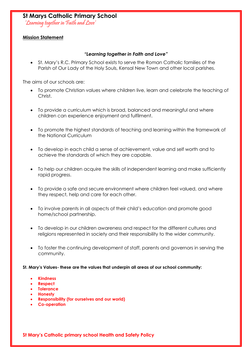'Learning together in Faith and Love'

#### **Mission Statement**

#### *"Learning together in Faith and Love"*

• St. Mary's R.C. Primary School exists to serve the Roman Catholic families of the Parish of Our Lady of the Holy Souls, Kensal New Town and other local parishes.

The aims of our schools are:

- To promote Christian values where children live, learn and celebrate the teaching of Christ.
- To provide a curriculum which is broad, balanced and meaningful and where children can experience enjoyment and fulfilment.
- To promote the highest standards of teaching and learning within the framework of the National Curriculum
- To develop in each child a sense of achievement, value and self worth and to achieve the standards of which they are capable.
- To help our children acquire the skills of independent learning and make sufficiently rapid progress.
- To provide a safe and secure environment where children feel valued, and where they respect, help and care for each other.
- To involve parents in all aspects of their child's education and promote good home/school partnership.
- To develop in our children awareness and respect for the different cultures and religions represented in society and their responsibility to the wider community.
- To foster the continuing development of staff, parents and governors in serving the community.

**St. Mary's Values- these are the values that underpin all areas of our school community:**

- **Kindness**
- **Respect**
- **Tolerance**
- **Honesty**
- **Responsibility (for ourselves and our world)**
- **Co-operation**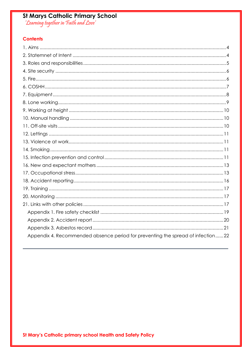# St Marys Catholic Primary School<br>'Learning together in Faith and Love'

#### **Contents**

<span id="page-2-0"></span>

| Appendix 4. Recommended absence period for preventing the spread of infection22 |
|---------------------------------------------------------------------------------|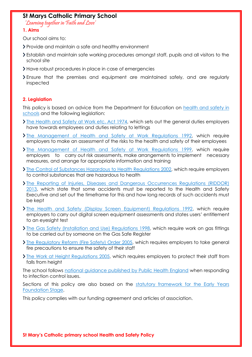'Learning together in Faith and Love'

#### **1. Aims**

Our school aims to:

- Provide and maintain a safe and healthy environment
- Establish and maintain safe working procedures amongst staff, pupils and all visitors to the school site
- Have robust procedures in place in case of emergencies
- Ensure that the premises and equipment are maintained safely, and are regularly inspected

#### <span id="page-3-0"></span>**2. Legislation**

This policy is based on advice from the Department for Education on health and safety in [schools](https://www.gov.uk/government/publications/health-and-safety-advice-for-schools) and the following legislation:

- $\sum$  [The Health and Safety at Work etc. Act 1974,](http://www.legislation.gov.uk/ukpga/1974/37) which sets out the general duties employers have towards employees and duties relating to lettings
- **>** [The Management of Health and Safety at Work Regulations 1992,](http://www.legislation.gov.uk/uksi/1992/2051/regulation/3/made) which require employers to make an assessment of the risks to the health and safety of their employees
- [The Management of Health and Safety at Work Regulations 1999,](http://www.legislation.gov.uk/uksi/1999/3242/contents/made) which require employers to carry out risk assessments, make arrangements to implement necessary measures, and arrange for appropriate information and training
- [The Control of Substances Hazardous to Health Regulations 2002,](http://www.legislation.gov.uk/uksi/2002/2677/contents/made) which require employers to control substances that are hazardous to health
- [The Reporting of Injuries, Diseases and Dangerous Occurrences Regulations \(RIDDOR\)](http://www.legislation.gov.uk/uksi/2013/1471/schedule/1/paragraph/1/made)  [2013,](http://www.legislation.gov.uk/uksi/2013/1471/schedule/1/paragraph/1/made) which state that some accidents must be reported to the Health and Safety Executive and set out the timeframe for this and how long records of such accidents must be kept
- **>** [The Health and Safety \(Display Screen Equipment\) Regulations 1992,](http://www.legislation.gov.uk/uksi/1992/2792/contents/made) which require employers to carry out digital screen equipment assessments and states users' entitlement to an eyesight test
- **[The Gas Safety \(Installation and Use\) Regulations 1998,](http://www.legislation.gov.uk/uksi/1998/2451/regulation/4/made) which require work on gas fittings** to be carried out by someone on the Gas Safe Register
- **>** [The Regulatory Reform \(Fire Safety\) Order 2005,](http://www.legislation.gov.uk/uksi/2005/1541/part/2/made) which requires employers to take general fire precautions to ensure the safety of their staff
- [The Work at Height Regulations 2005,](http://www.legislation.gov.uk/uksi/2005/735/contents/made) which requires employers to protect their staff from falls from height

The school follows [national guidance published by Public Health England](https://www.gov.uk/government/publications/health-protection-in-schools-and-other-childcare-facilities/chapter-9-managing-specific-infectious-diseases) when responding to infection control issues.

Sections of this policy are also based on the statutory framework for the Early Years [Foundation Stage.](https://www.gov.uk/government/publications/early-years-foundation-stage-framework--2)

<span id="page-3-1"></span>This policy complies with our funding agreement and articles of association.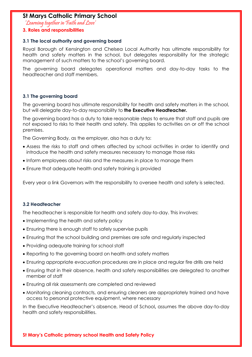'Learning together in Faith and Love'

#### **3. Roles and responsibilities**

#### **3.1 The local authority and governing board**

Royal Borough of Kensington and Chelsea Local Authority has ultimate responsibility for health and safety matters in the school, but delegates responsibility for the strategic management of such matters to the school's governing board.

The governing board delegates operational matters and day-to-day tasks to the headteacher and staff members.

#### **3.1 The governing board**

The governing board has ultimate responsibility for health and safety matters in the school, but will delegate day-to-day responsibility to **the Executive Headteacher.**

The governing board has a duty to take reasonable steps to ensure that staff and pupils are not exposed to risks to their health and safety. This applies to activities on or off the school premises.

The Governing Body, as the employer, also has a duty to:

- Assess the risks to staff and others affected by school activities in order to identify and introduce the health and safety measures necessary to manage those risks
- Inform employees about risks and the measures in place to manage them
- Ensure that adequate health and safety training is provided

Every year a link Governors with the responsibility to oversee health and safety is selected.

#### **3.2 Headteacher**

The headteacher is responsible for health and safety day-to-day. This involves:

- Implementing the health and safety policy
- Ensuring there is enough staff to safely supervise pupils
- Ensuring that the school building and premises are safe and regularly inspected
- Providing adequate training for school staff
- Reporting to the governing board on health and safety matters
- Ensuring appropriate evacuation procedures are in place and regular fire drills are held
- Ensuring that in their absence, health and safety responsibilities are delegated to another member of staff
- Ensuring all risk assessments are completed and reviewed
- Monitoring cleaning contracts, and ensuring cleaners are appropriately trained and have access to personal protective equipment, where necessary

In the Executive Headteacher's absence, Head of School**,** assumes the above day-to-day health and safety responsibilities.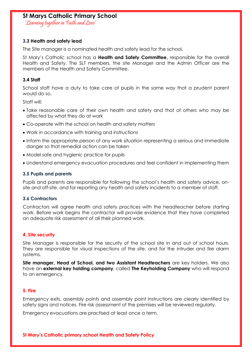'Learning together in Faith and Love'

#### **3.3 Health and safety lead**

The Site manager is a nominated health and safety lead for the school**.**

St Mary's Catholic school has a **Health and Safety Committee,** responsible for the overall Health and Safety. The SLT members, the site Manager and the Admin Officer are the members of the Health and Safety Committee.

#### **3.4 Staff**

School staff have a duty to take care of pupils in the same way that a prudent parent would do so.

Staff will:

- Take reasonable care of their own health and safety and that of others who may be affected by what they do at work
- Co-operate with the school on health and safety matters
- Work in accordance with training and instructions
- Inform the appropriate person of any work situation representing a serious and immediate danger so that remedial action can be taken
- Model safe and hygienic practice for pupils
- Understand emergency evacuation procedures and feel confident in implementing them

#### **3.5 Pupils and parents**

Pupils and parents are responsible for following the school's health and safety advice, onsite and off-site, and for reporting any health and safety incidents to a member of staff.

#### **3.6 Contractors**

Contractors will agree health and safety practices with the headteacher before starting work. Before work begins the contractor will provide evidence that they have completed an adequate risk assessment of all their planned work.

#### <span id="page-5-0"></span>**4. Site security**

Site Manager is responsible for the security of the school site in and out of school hours. They are responsible for visual inspections of the site, and for the intruder and fire alarm systems.

**Site manager, Head of School, and two Assistant Headteachers** are key holders. We also have an **external key holding company**, called **The Keyholding Company** who will respond to an emergency.

#### <span id="page-5-1"></span>**5. Fire**

Emergency exits, assembly points and assembly point instructions are clearly identified by safety signs and notices. Fire risk assessment of the premises will be reviewed regularly.

Emergency evacuations are practised at least once a term.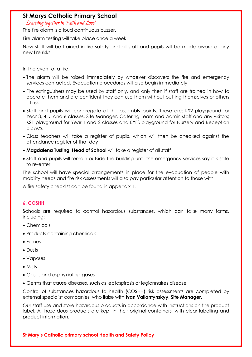'Learning together in Faith and Love'

The fire alarm is a loud continuous buzzer.

Fire alarm testing will take place once a week.

New staff will be trained in fire safety and all staff and pupils will be made aware of any new fire risks.

In the event of a fire:

- The alarm will be raised immediately by whoever discovers the fire and emergency services contacted. Evacuation procedures will also begin immediately
- Fire extinguishers may be used by staff only, and only then if staff are trained in how to operate them and are confident they can use them without putting themselves or others at risk
- Staff and pupils will congregate at the assembly points. These are: KS2 playground for Year 3, 4, 5 and 6 classes, Site Manager, Catering Team and Admin staff and any visitors; KS1 playground for Year 1 and 2 classes and EYFS playground for Nursery and Reception classes.
- Class teachers will take a register of pupils, which will then be checked against the attendance register of that day
- **Magdalena Tusting**, **Head of School** will take a register of all staff
- Staff and pupils will remain outside the building until the emergency services say it is safe to re-enter

The school will have special arrangements in place for the evacuation of people with mobility needs and fire risk assessments will also pay particular attention to those with

<span id="page-6-0"></span>A fire safety checklist can be found in appendix 1.

#### **6. COSHH**

Schools are required to control hazardous substances, which can take many forms, including:

- Chemicals
- Products containing chemicals
- Fumes
- Dusts
- Vapours
- Mists
- Gases and asphyxiating gases
- Germs that cause diseases, such as leptospirosis or legionnaires disease

Control of substances hazardous to health (COSHH) risk assessments are completed by external specialist companies, who liaise with **Ivan Vallantynskyy, Site Manager.**

Our staff use and store hazardous products in accordance with instructions on the product label. All hazardous products are kept in their original containers, with clear labelling and product information.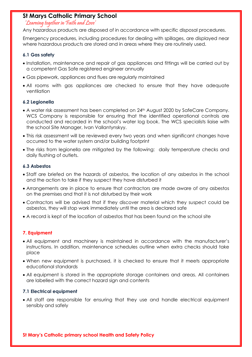'Learning together in Faith and Love'

Any hazardous products are disposed of in accordance with specific disposal procedures.

Emergency procedures, including procedures for dealing with spillages, are displayed near where hazardous products are stored and in areas where they are routinely used.

#### **6.1 Gas safety**

- Installation, maintenance and repair of gas appliances and fittings will be carried out by a competent Gas Safe registered engineer annually
- Gas pipework, appliances and flues are regularly maintained
- All rooms with gas appliances are checked to ensure that they have adequate ventilation

#### **6.2 Legionella**

- A water risk assessment has been completed on 24<sup>th</sup> August 2020 by SafeCare Company. WCS Company is responsible for ensuring that the identified operational controls are conducted and recorded in the school's water log book. The WCS specialists liaise with the school Site Manager, Ivan Vallantynskyy.
- This risk assessment will be reviewed every two years and when significant changes have occurred to the water system and/or building footprint
- The risks from legionella are mitigated by the following: daily temperature checks and daily flushing of outlets.

#### **6.3 Asbestos**

- Staff are briefed on the hazards of asbestos, the location of any asbestos in the school and the action to take if they suspect they have disturbed it
- Arrangements are in place to ensure that contractors are made aware of any asbestos on the premises and that it is not disturbed by their work
- Contractors will be advised that if they discover material which they suspect could be asbestos, they will stop work immediately until the area is declared safe
- <span id="page-7-0"></span>• A record is kept of the location of asbestos that has been found on the school site

#### **7. Equipment**

- All equipment and machinery is maintained in accordance with the manufacturer's instructions. In addition, maintenance schedules outline when extra checks should take place
- When new equipment is purchased, it is checked to ensure that it meets appropriate educational standards
- All equipment is stored in the appropriate storage containers and areas. All containers are labelled with the correct hazard sign and contents

#### **7.1 Electrical equipment**

• All staff are responsible for ensuring that they use and handle electrical equipment sensibly and safely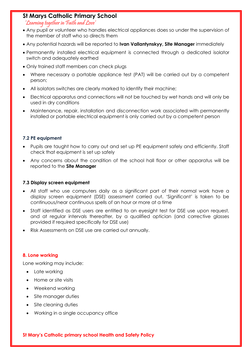'Learning together in Faith and Love'

- Any pupil or volunteer who handles electrical appliances does so under the supervision of the member of staff who so directs them
- Any potential hazards will be reported to **Ivan Vallantynskyy, Site Manager** immediately
- Permanently installed electrical equipment is connected through a dedicated isolator switch and adequately earthed
- Only trained staff members can check plugs
- Where necessary a portable appliance test (PAT) will be carried out by a competent person;
- All isolators switches are clearly marked to identify their machine;
- Electrical apparatus and connections will not be touched by wet hands and will only be used in dry conditions
- Maintenance, repair, installation and disconnection work associated with permanently installed or portable electrical equipment is only carried out by a competent person

#### **7.2 PE equipment**

- Pupils are taught how to carry out and set up PE equipment safely and efficiently. Staff check that equipment is set up safely
- Any concerns about the condition of the school hall floor or other apparatus will be reported to the **Site Manager**

#### **7.3 Display screen equipment**

- All staff who use computers daily as a significant part of their normal work have a display screen equipment (DSE) assessment carried out. 'Significant' is taken to be continuous/near continuous spells of an hour or more at a time
- Staff identified as DSE users are entitled to an eyesight test for DSE use upon request, and at regular intervals thereafter, by a qualified optician (and corrective glasses provided if required specifically for DSE use)
- <span id="page-8-0"></span>• Risk Assessments on DSE use are carried out annually.

#### **8. Lone working**

Lone working may include:

- Late working
- Home or site visits
- Weekend working
- Site manager duties
- Site cleaning duties
- Working in a single occupancy office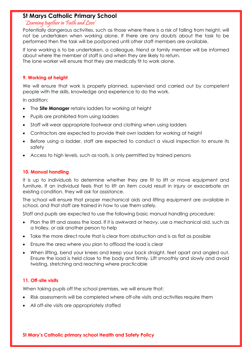#### 'Learning together in Faith and Love'

Potentially dangerous activities, such as those where there is a risk of falling from height, will not be undertaken when working alone. If there are any doubts about the task to be performed then the task will be postponed until other staff members are available.

If lone working is to be undertaken, a colleague, friend or family member will be informed about where the member of staff is and when they are likely to return. The lone worker will ensure that they are medically fit to work alone.

#### <span id="page-9-0"></span>**9. Working at height**

We will ensure that work is properly planned, supervised and carried out by competent people with the skills, knowledge and experience to do the work.

In addition:

- The **Site Manager** retains ladders for working at height
- Pupils are prohibited from using ladders
- Staff will wear appropriate footwear and clothing when using ladders
- Contractors are expected to provide their own ladders for working at height
- Before using a ladder, staff are expected to conduct a visual inspection to ensure its safety
- <span id="page-9-1"></span>• Access to high levels, such as roofs, is only permitted by trained persons

#### **10. Manual handling**

It is up to individuals to determine whether they are fit to lift or move equipment and furniture. If an individual feels that to lift an item could result in injury or exacerbate an existing condition, they will ask for assistance.

The school will ensure that proper mechanical aids and lifting equipment are available in school, and that staff are trained in how to use them safely.

Staff and pupils are expected to use the following basic manual handling procedure:

- Plan the lift and assess the load. If it is awkward or heavy, use a mechanical aid, such as a trolley, or ask another person to help
- Take the more direct route that is clear from obstruction and is as flat as possible
- Ensure the area where you plan to offload the load is clear
- When lifting, bend your knees and keep your back straight, feet apart and angled out. Ensure the load is held close to the body and firmly. Lift smoothly and slowly and avoid twisting, stretching and reaching where practicable

#### <span id="page-9-2"></span>**11. Off-site visits**

When taking pupils off the school premises, we will ensure that:

- Risk assessments will be completed where off-site visits and activities require them
- All off-site visits are appropriately staffed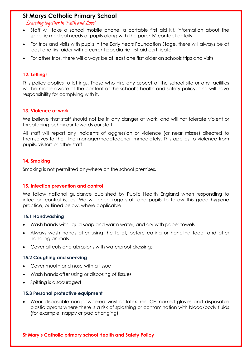'Learning together in Faith and Love'

- Staff will take a school mobile phone, a portable first aid kit, information about the specific medical needs of pupils along with the parents' contact details
- For trips and visits with pupils in the Early Years Foundation Stage, there will always be at least one first aider with a current paediatric first aid certificate
- <span id="page-10-0"></span>• For other trips, there will always be at least one first aider on schools trips and visits

#### **12. Lettings**

This policy applies to lettings. Those who hire any aspect of the school site or any facilities will be made aware of the content of the school's health and safety policy, and will have responsibility for complying with it.

#### <span id="page-10-1"></span>**13. Violence at work**

We believe that staff should not be in any danger at work, and will not tolerate violent or threatening behaviour towards our staff.

All staff will report any incidents of aggression or violence (or near misses) directed to themselves to their line manager/headteacher immediately. This applies to violence from pupils, visitors or other staff.

#### <span id="page-10-2"></span>**14. Smoking**

<span id="page-10-3"></span>Smoking is not permitted anywhere on the school premises.

#### **15. Infection prevention and control**

We follow national guidance published by Public Health England when responding to infection control issues. We will encourage staff and pupils to follow this good hygiene practice, outlined below, where applicable.

#### **15.1 Handwashing**

- Wash hands with liquid soap and warm water, and dry with paper towels
- Always wash hands after using the toilet, before eating or handling food, and after handling animals
- Cover all cuts and abrasions with waterproof dressings

#### **15.2 Coughing and sneezing**

- Cover mouth and nose with a tissue
- Wash hands after using or disposing of tissues
- Spitting is discouraged

#### **15.3 Personal protective equipment**

• Wear disposable non-powdered vinyl or latex-free CE-marked gloves and disposable plastic aprons where there is a risk of splashing or contamination with blood/body fluids (for example, nappy or pad changing)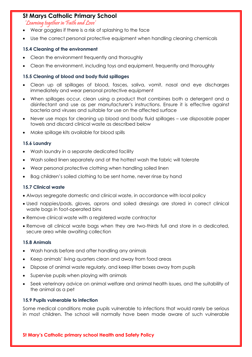'Learning together in Faith and Love'

- Wear goggles if there is a risk of splashing to the face
- Use the correct personal protective equipment when handling cleaning chemicals

#### **15.4 Cleaning of the environment**

- Clean the environment frequently and thoroughly
- Clean the environment, including toys and equipment, frequently and thoroughly

#### **15.5 Cleaning of blood and body fluid spillages**

- Clean up all spillages of blood, fasces, saliva, vomit, nasal and eye discharges immediately and wear personal protective equipment
- When spillages occur, clean using a product that combines both a detergent and a disinfectant and use as per manufacturer's instructions. Ensure it is effective against bacteria and viruses and suitable for use on the affected surface
- Never use mops for cleaning up blood and body fluid spillages use disposable paper towels and discard clinical waste as described below
- Make spillage kits available for blood spills

#### **15.6 Laundry**

- Wash laundry in a separate dedicated facility
- Wash soiled linen separately and at the hottest wash the fabric will tolerate
- Wear personal protective clothing when handling soiled linen
- Bag children's soiled clothing to be sent home, never rinse by hand

#### **15.7 Clinical waste**

- Always segregate domestic and clinical waste, in accordance with local policy
- Used nappies/pads, gloves, aprons and soiled dressings are stored in correct clinical waste bags in foot-operated bins
- Remove clinical waste with a registered waste contractor
- Remove all clinical waste bags when they are two-thirds full and store in a dedicated, secure area while awaiting collection

#### **15.8 Animals**

- Wash hands before and after handling any animals
- Keep animals' living quarters clean and away from food areas
- Dispose of animal waste regularly, and keep litter boxes away from pupils
- Supervise pupils when playing with animals
- Seek veterinary advice on animal welfare and animal health issues, and the suitability of the animal as a pet

#### **15.9 Pupils vulnerable to infection**

Some medical conditions make pupils vulnerable to infections that would rarely be serious in most children. The school will normally have been made aware of such vulnerable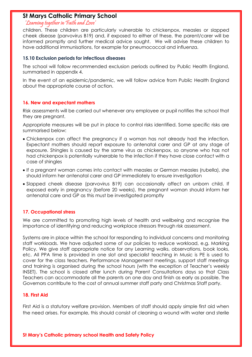#### 'Learning together in Faith and Love'

children. These children are particularly vulnerable to chickenpox, measles or slapped cheek disease (parvovirus B19) and, if exposed to either of these, the parent/carer will be informed promptly and further medical advice sought. We will advise these children to have additional immunisations, for example for pneumococcal and influenza.

#### **15.10 Exclusion periods for infectious diseases**

The school will follow recommended exclusion periods outlined by Public Health England, summarised in appendix 4.

In the event of an epidemic/pandemic, we will follow advice from Public Health England about the appropriate course of action.

#### <span id="page-12-0"></span>**16. New and expectant mothers**

Risk assessments will be carried out whenever any employee or pupil notifies the school that they are pregnant.

Appropriate measures will be put in place to control risks identified. Some specific risks are summarised below:

- Chickenpox can affect the pregnancy if a woman has not already had the infection. Expectant mothers should report exposure to antenatal carer and GP at any stage of exposure. Shingles is caused by the same virus as chickenpox, so anyone who has not had chickenpox is potentially vulnerable to the infection if they have close contact with a case of shingles
- If a pregnant woman comes into contact with measles or German measles (rubella), she should inform her antenatal carer and GP immediately to ensure investigation
- Slapped cheek disease (parvovirus B19) can occasionally affect an unborn child. If exposed early in pregnancy (before 20 weeks), the pregnant woman should inform her antenatal care and GP as this must be investigated promptly

#### <span id="page-12-1"></span>**17. Occupational stress**

We are committed to promoting high levels of health and wellbeing and recognise the importance of identifying and reducing workplace stressors through risk assessment.

Systems are in place within the school for responding to individual concerns and monitoring staff workloads. We have adjusted some of our policies to reduce workload, e.g. Marking Policy. We give staff appropriate notice for any Learning walks, observations, book looks, etc. All PPA time is provided in one slot and specialist teaching in Music is PE is used to cover for the class teachers. Performance Management meetings, support staff meetings and training is organised during the school hours (with the exception of Teacher's weekly INSET). The school is closed after lunch during Parent Consultations days so that Class Teachers can accommodate all the parents on one day and finish as early as possible. The Governors contribute to the cost of annual summer staff party and Christmas Staff party.

#### **18. First Aid**

First Aid is a statutory welfare provision. Members of staff should apply simple first aid when the need arises. For example, this should consist of cleaning a wound with water and sterile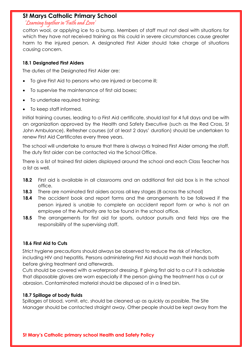#### 'Learning together in Faith and Love'

cotton wool, or applying ice to a bump. Members of staff must not deal with situations for which they have not received training as this could in severe circumstances cause greater harm to the injured person. A designated First Aider should take charge of situations causing concern.

#### **18.1 Designated First Aiders**

The duties of the Designated First Aider are:

- To give First Aid to persons who are injured or become ill;
- To supervise the maintenance of first aid boxes;
- To undertake required training;
- To keep staff informed.

Initial training courses, leading to a First Aid certificate, should last for 4 full days and be with an organization approved by the Health and Safety Executive (such as the Red Cross, St John Ambulance). Refresher courses (of at least 2 days' duration) should be undertaken to renew First Aid Certificates every three years.

The school will undertake to ensure that there is always a trained First Aider among the staff. The duty first aider can be contacted via the School Office.

There is a list of trained first aiders displayed around the school and each Class Teacher has a list as well.

- **18.2** First aid is available in all classrooms and an additional first aid box is in the school office.
- **18.3** There are nominated first aiders across all key stages (8 across the school)
- **18.4** The accident book and report forms and the arrangements to be followed if the person injured is unable to complete an accident report form or who is not an employee of the Authority are to be found in the school office.
- **18.5** The arrangements for first aid for sports, outdoor pursuits and field trips are the responsibility of the supervising staff.

#### **18.6 First Aid to Cuts**

Strict hygiene precautions should always be observed to reduce the risk of infection, including HIV and hepatitis. Persons administering First Aid should wash their hands both before giving treatment and afterwards.

Cuts should be covered with a waterproof dressing. If giving first aid to a cut it is advisable that disposable gloves are worn especially if the person giving the treatment has a cut or abrasion. Contaminated material should be disposed of in a lined bin.

#### **18.7 Spillage of body fluids**

Spillages of blood, vomit, etc. should be cleaned up as quickly as possible. The Site Manager should be contacted straight away. Other people should be kept away from the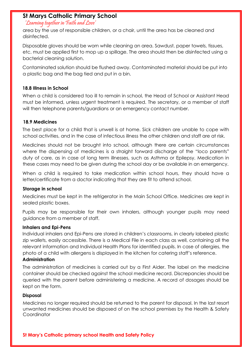#### 'Learning together in Faith and Love'

area by the use of responsible children, or a chair, until the area has be cleaned and disinfected.

Disposable gloves should be worn while cleaning an area. Sawdust, paper towels, tissues, etc. must be applied first to mop up a spillage. The area should then be disinfected using a bacterial cleaning solution.

Contaminated solution should be flushed away. Contaminated material should be put into a plastic bag and the bag tied and put in a bin.

#### **18.8 Illness in School**

When a child is considered too ill to remain in school, the Head of School or Assistant Head must be informed, unless urgent treatment is required. The secretary, or a member of staff will then telephone parents/guardians or an emergency contact number.

#### **18.9 Medicines**

The best place for a child that is unwell is at home. Sick children are unable to cope with school activities, and in the case of infectious illness the other children and staff are at risk.

Medicines should not be brought into school, although there are certain circumstances where the dispensing of medicines is a straight forward discharge of the "loco parents" duty of care, as in case of long term illnesses, such as Asthma or Epilepsy. Medication in these cases may need to be given during the school day or be available in an emergency.

When a child is required to take medication within school hours, they should have a letter/certificate from a doctor indicating that they are fit to attend school.

#### **Storage in school**

Medicines must be kept in the refrigerator in the Main School Office. Medicines are kept in sealed plastic boxes.

Pupils may be responsible for their own inhalers, although younger pupils may need guidance from a member of staff.

#### **Inhalers and Epi-Pens**

Individual inhalers and Epi-Pens are stored in children's classrooms, in clearly labeled plastic zip wallets, easily accessible. There is a Medical File in each class as well, containing all the relevant information and Individual Health Plans for identified pupils. In case of allergies, the photo of a child with allergens is displayed in the kitchen for catering staff's reference.

#### **Administration**

The administration of medicines is carried out by a First Aider. The label on the medicine container should be checked against the school medicine record. Discrepancies should be queried with the parent before administering a medicine. A record of dosages should be kept on the form.

#### **Disposal**

Medicines no longer required should be returned to the parent for disposal. In the last resort unwanted medicines should be disposed of on the school premises by the Health & Safety **Coordinator**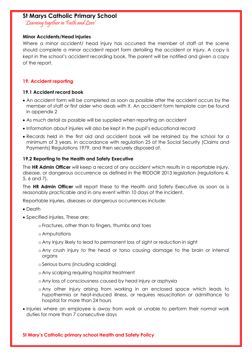'Learning together in Faith and Love'

#### **Minor Accidents/Head injuries**

Where a minor accident/ head injury has occurred the member of staff at the scene should complete a minor accident report form detailing the accident or injury. A copy is kept in the school's accident recording book. The parent will be notified and given a copy of the report.

#### <span id="page-15-0"></span>**19. Accident reporting**

#### **19.1 Accident record book**

- An accident form will be completed as soon as possible after the accident occurs by the member of staff or first aider who deals with it. An accident form template can be found in appendix 2
- As much detail as possible will be supplied when reporting an accident
- Information about injuries will also be kept in the pupil's educational record
- Records held in the first aid and accident book will be retained by the school for a minimum of 3 years, in accordance with regulation 25 of the Social Security (Claims and Payments) Regulations 1979, and then securely disposed of.

#### **19.2 Reporting to the Health and Safety Executive**

The **HR Admin Officer** will keep a record of any accident which results in a reportable injury, disease, or dangerous occurrence as defined in the RIDDOR 2013 legislation (regulations 4, 5, 6 and 7).

The **HR Admin Officer** will report these to the Health and Safety Executive as soon as is reasonably practicable and in any event within 10 days of the incident.

Reportable injuries, diseases or dangerous occurrences include:

- Death
- Specified injuries. These are:
	- o Fractures, other than to fingers, thumbs and toes
	- o Amputations
	- o Any injury likely to lead to permanent loss of sight or reduction in sight
	- o Any crush injury to the head or torso causing damage to the brain or internal organs
	- o Serious burns (including scalding)
	- o Any scalping requiring hospital treatment
	- o Any loss of consciousness caused by head injury or asphyxia
	- o Any other injury arising from working in an enclosed space which leads to hypothermia or heat-induced illness, or requires resuscitation or admittance to hospital for more than 24 hours
- Injuries where an employee is away from work or unable to perform their normal work duties for more than 7 consecutive days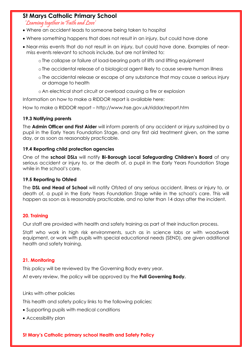'Learning together in Faith and Love'

- Where an accident leads to someone being taken to hospital
- Where something happens that does not result in an injury, but could have done
- Near-miss events that do not result in an injury, but could have done. Examples of nearmiss events relevant to schools include, but are not limited to:

o The collapse or failure of load-bearing parts of lifts and lifting equipment

- o The accidental release of a biological agent likely to cause severe human illness
- o The accidental release or escape of any substance that may cause a serious injury or damage to health
- o An electrical short circuit or overload causing a fire or explosion

Information on how to make a RIDDOR report is available here:

How to make a RIDDOR report – http://www.hse.gov.uk/riddor/report.htm

#### **19.3 Notifying parents**

The **Admin Officer and First Aider** will inform parents of any accident or injury sustained by a pupil in the Early Years Foundation Stage, and any first aid treatment given, on the same day, or as soon as reasonably practicable.

#### **19.4 Reporting child protection agencies**

One of the **school DSLs** will notify **Bi-Borough Local Safeguarding Children's Board** of any serious accident or injury to, or the death of, a pupil in the Early Years Foundation Stage while in the school's care.

#### **19.5 Reporting to Ofsted**

The **DSL and Head of School** will notify Ofsted of any serious accident, illness or injury to, or death of, a pupil in the Early Years Foundation Stage while in the school's care. This will happen as soon as is reasonably practicable, and no later than 14 days after the incident.

#### <span id="page-16-0"></span>**20. Training**

Our staff are provided with health and safety training as part of their induction process.

Staff who work in high risk environments, such as in science labs or with woodwork equipment, or work with pupils with special educational needs (SEND), are given additional health and safety training.

#### <span id="page-16-1"></span>**21. Monitoring**

This policy will be reviewed by the Governing Body every year.

<span id="page-16-2"></span>At every review, the policy will be approved by the **Full Governing Body.**

Links with other policies

This health and safety policy links to the following policies:

- Supporting pupils with medical conditions
- Accessibility plan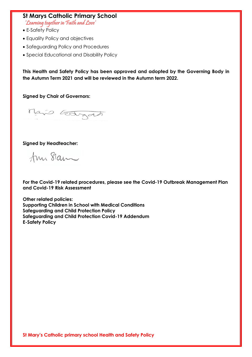'Learning together in Faith and Love'

- E-Safety Policy
- Equality Policy and objectives
- Safeguarding Policy and Procedures
- Special Educational and Disability Policy

**This Health and Safety Policy has been approved and adopted by the Governing Body in the Autumn Term 2021 and will be reviewed in the Autumn term 2022.** 

**Signed by Chair of Governors:**

Mais Estgan

#### **Signed by Headteacher:**

Ann Sam

**For the Covid-19 related procedures, please see the Covid-19 Outbreak Management Plan and Covid-19 Risk Assessment**

**Other related policies: Supporting Children in School with Medical Conditions Safeguarding and Child Protection Policy Safeguarding and Child Protection Covid-19 Addendum E-Safety Policy**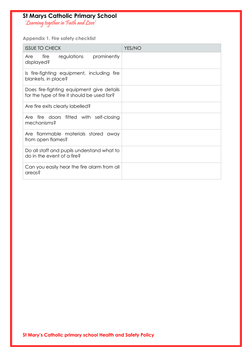'Learning together in Faith and Love'

<span id="page-18-0"></span>**Appendix 1. Fire safety checklist**

| <b>ISSUE TO CHECK</b>                                                                    | YES/NO |
|------------------------------------------------------------------------------------------|--------|
| regulations prominently<br>fire<br>Are<br>displayed?                                     |        |
| Is fire-fighting equipment, including fire<br>blankets, in place?                        |        |
| Does fire-fighting equipment give details<br>for the type of fire it should be used for? |        |
| Are fire exits clearly labelled?                                                         |        |
| fire doors fitted with self-closing<br>Are<br>mechanisms?                                |        |
| Are flammable materials stored away<br>from open flames?                                 |        |
| Do all staff and pupils understand what to<br>do in the event of a fire?                 |        |
| Can you easily hear the fire alarm from all<br>areas?                                    |        |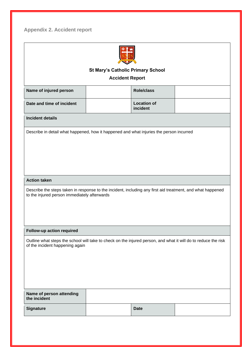<span id="page-19-0"></span>**Appendix 2. Accident report**

| <b>St Mary's Catholic Primary School</b>                                                                                                                   |                        |                                |  |
|------------------------------------------------------------------------------------------------------------------------------------------------------------|------------------------|--------------------------------|--|
|                                                                                                                                                            | <b>Accident Report</b> |                                |  |
| Name of injured person                                                                                                                                     |                        | <b>Role/class</b>              |  |
| Date and time of incident                                                                                                                                  |                        | <b>Location of</b><br>incident |  |
| <b>Incident details</b>                                                                                                                                    |                        |                                |  |
| Describe in detail what happened, how it happened and what injuries the person incurred                                                                    |                        |                                |  |
|                                                                                                                                                            |                        |                                |  |
|                                                                                                                                                            |                        |                                |  |
|                                                                                                                                                            |                        |                                |  |
| <b>Action taken</b>                                                                                                                                        |                        |                                |  |
|                                                                                                                                                            |                        |                                |  |
| Describe the steps taken in response to the incident, including any first aid treatment, and what happened<br>to the injured person immediately afterwards |                        |                                |  |
|                                                                                                                                                            |                        |                                |  |
|                                                                                                                                                            |                        |                                |  |
| Follow-up action required                                                                                                                                  |                        |                                |  |
| Outline what steps the school will take to check on the injured person, and what it will do to reduce the risk<br>of the incident happening again          |                        |                                |  |
|                                                                                                                                                            |                        |                                |  |
|                                                                                                                                                            |                        |                                |  |
|                                                                                                                                                            |                        |                                |  |
|                                                                                                                                                            |                        |                                |  |
| Name of person attending<br>the incident                                                                                                                   |                        |                                |  |
| <b>Signature</b>                                                                                                                                           |                        | <b>Date</b>                    |  |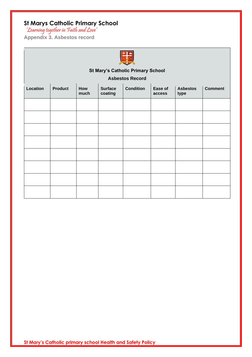'Learning together in Faith and Love'

<span id="page-20-0"></span>**Appendix 3. Asbestos record**



# **St Mary's Catholic Primary School**

**Asbestos Record**

| Location | <b>Product</b> | How<br>much | <b>Surface</b><br>coating | <b>Condition</b> | Ease of<br>access | <b>Asbestos</b><br>type | <b>Comment</b> |
|----------|----------------|-------------|---------------------------|------------------|-------------------|-------------------------|----------------|
|          |                |             |                           |                  |                   |                         |                |
|          |                |             |                           |                  |                   |                         |                |
|          |                |             |                           |                  |                   |                         |                |
|          |                |             |                           |                  |                   |                         |                |
|          |                |             |                           |                  |                   |                         |                |
|          |                |             |                           |                  |                   |                         |                |
|          |                |             |                           |                  |                   |                         |                |
|          |                |             |                           |                  |                   |                         |                |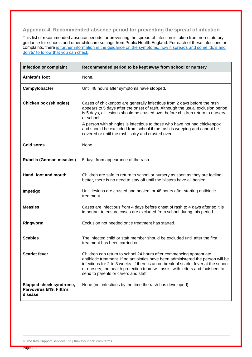#### <span id="page-21-0"></span>**Appendix 4. Recommended absence period for preventing the spread of infection**

This list of recommended absence periods for preventing the spread of infection is taken from non-statutory guidance for schools and other childcare settings from Public Health England. For each of these infections or complaints, there is further information in the guidance on the symptoms, how it spreads and some 'do's and [don'ts' to follow that you can check.](https://www.gov.uk/government/publications/health-protection-in-schools-and-other-childcare-facilities/chapter-9-managing-specific-infectious-diseases)

| Infection or complaint                                        | Recommended period to be kept away from school or nursery                                                                                                                                                                                                                                                                                                                                                                                                                 |
|---------------------------------------------------------------|---------------------------------------------------------------------------------------------------------------------------------------------------------------------------------------------------------------------------------------------------------------------------------------------------------------------------------------------------------------------------------------------------------------------------------------------------------------------------|
| Athlete's foot                                                | None.                                                                                                                                                                                                                                                                                                                                                                                                                                                                     |
| Campylobacter                                                 | Until 48 hours after symptoms have stopped.                                                                                                                                                                                                                                                                                                                                                                                                                               |
| <b>Chicken pox (shingles)</b>                                 | Cases of chickenpox are generally infectious from 2 days before the rash<br>appears to 5 days after the onset of rash. Although the usual exclusion period<br>is 5 days, all lesions should be crusted over before children return to nursery<br>or school.<br>A person with shingles is infectious to those who have not had chickenpox<br>and should be excluded from school if the rash is weeping and cannot be<br>covered or until the rash is dry and crusted over. |
| <b>Cold sores</b>                                             | None.                                                                                                                                                                                                                                                                                                                                                                                                                                                                     |
| Rubella (German measles)                                      | 5 days from appearance of the rash.                                                                                                                                                                                                                                                                                                                                                                                                                                       |
| Hand, foot and mouth                                          | Children are safe to return to school or nursery as soon as they are feeling<br>better, there is no need to stay off until the blisters have all healed.                                                                                                                                                                                                                                                                                                                  |
| Impetigo                                                      | Until lesions are crusted and healed, or 48 hours after starting antibiotic<br>treatment.                                                                                                                                                                                                                                                                                                                                                                                 |
| <b>Measles</b>                                                | Cases are infectious from 4 days before onset of rash to 4 days after so it is<br>important to ensure cases are excluded from school during this period.                                                                                                                                                                                                                                                                                                                  |
| Ringworm                                                      | Exclusion not needed once treatment has started.                                                                                                                                                                                                                                                                                                                                                                                                                          |
| <b>Scabies</b>                                                | The infected child or staff member should be excluded until after the first<br>treatment has been carried out.                                                                                                                                                                                                                                                                                                                                                            |
| <b>Scarlet fever</b>                                          | Children can return to school 24 hours after commencing appropriate<br>antibiotic treatment. If no antibiotics have been administered the person will be<br>infectious for 2 to 3 weeks. If there is an outbreak of scarlet fever at the school<br>or nursery, the health protection team will assist with letters and factsheet to<br>send to parents or carers and staff.                                                                                               |
| Slapped cheek syndrome,<br>Parvovirus B19, Fifth's<br>disease | None (not infectious by the time the rash has developed).                                                                                                                                                                                                                                                                                                                                                                                                                 |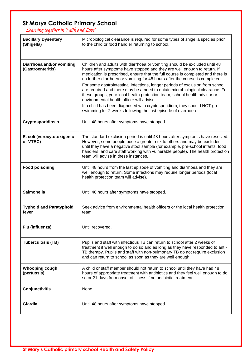'Learning together in Faith and Love'

| <b>Bacillary Dysentery</b><br>(Shigella)       | Microbiological clearance is required for some types of shigella species prior<br>to the child or food handler returning to school.                                                                                                                                                                                                                                  |
|------------------------------------------------|----------------------------------------------------------------------------------------------------------------------------------------------------------------------------------------------------------------------------------------------------------------------------------------------------------------------------------------------------------------------|
|                                                |                                                                                                                                                                                                                                                                                                                                                                      |
| Diarrhoea and/or vomiting<br>(Gastroenteritis) | Children and adults with diarrhoea or vomiting should be excluded until 48<br>hours after symptoms have stopped and they are well enough to return. If<br>medication is prescribed, ensure that the full course is completed and there is<br>no further diarrhoea or vomiting for 48 hours after the course is completed.                                            |
|                                                | For some gastrointestinal infections, longer periods of exclusion from school<br>are required and there may be a need to obtain microbiological clearance. For<br>these groups, your local health protection team, school health advisor or<br>environmental health officer will advise.                                                                             |
|                                                | If a child has been diagnosed with cryptosporidium, they should NOT go<br>swimming for 2 weeks following the last episode of diarrhoea.                                                                                                                                                                                                                              |
| <b>Cryptosporidiosis</b>                       | Until 48 hours after symptoms have stopped.                                                                                                                                                                                                                                                                                                                          |
| E. coli (verocytotoxigenic<br>or VTEC)         | The standard exclusion period is until 48 hours after symptoms have resolved.<br>However, some people pose a greater risk to others and may be excluded<br>until they have a negative stool sample (for example, pre-school infants, food<br>handlers, and care staff working with vulnerable people). The health protection<br>team will advise in these instances. |
| <b>Food poisoning</b>                          | Until 48 hours from the last episode of vomiting and diarrhoea and they are<br>well enough to return. Some infections may require longer periods (local<br>health protection team will advise).                                                                                                                                                                      |
| <b>Salmonella</b>                              | Until 48 hours after symptoms have stopped.                                                                                                                                                                                                                                                                                                                          |
| <b>Typhoid and Paratyphoid</b><br>fever        | Seek advice from environmental health officers or the local health protection<br>team.                                                                                                                                                                                                                                                                               |
| Flu (influenza)                                | Until recovered.                                                                                                                                                                                                                                                                                                                                                     |
| <b>Tuberculosis (TB)</b>                       | Pupils and staff with infectious TB can return to school after 2 weeks of<br>treatment if well enough to do so and as long as they have responded to anti-<br>TB therapy. Pupils and staff with non-pulmonary TB do not require exclusion<br>and can return to school as soon as they are well enough.                                                               |
| <b>Whooping cough</b><br>(pertussis)           | A child or staff member should not return to school until they have had 48<br>hours of appropriate treatment with antibiotics and they feel well enough to do<br>so or 21 days from onset of illness if no antibiotic treatment.                                                                                                                                     |
| Conjunctivitis                                 | None.                                                                                                                                                                                                                                                                                                                                                                |
| Giardia                                        | Until 48 hours after symptoms have stopped.                                                                                                                                                                                                                                                                                                                          |